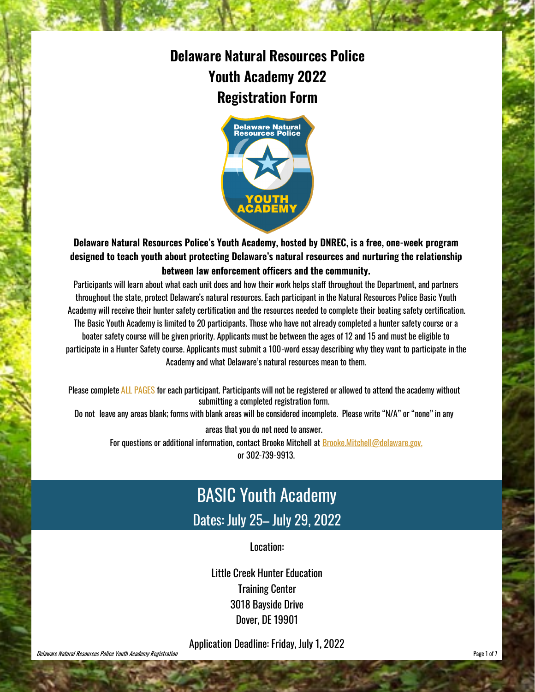### **Delaware Natural Resources Police Youth Academy 2022 Registration Form**



#### **Delaware Natural Resources Police's Youth Academy, hosted by DNREC, is a free, one-week program designed to teach youth about protecting Delaware's natural resources and nurturing the relationship between law enforcement officers and the community.**

Participants will learn about what each unit does and how their work helps staff throughout the Department, and partners throughout the state, protect Delaware's natural resources. Each participant in the Natural Resources Police Basic Youth Academy will receive their hunter safety certification and the resources needed to complete their boating safety certification. The Basic Youth Academy is limited to 20 participants. Those who have not already completed a hunter safety course or a boater safety course will be given priority. Applicants must be between the ages of 12 and 15 and must be eligible to participate in a Hunter Safety course. Applicants must submit a 100-word essay describing why they want to participate in the Academy and what Delaware's natural resources mean to them.

Please complete ALL PAGES for each participant. Participants will not be registered or allowed to attend the academy without submitting a completed registration form.

Do not leave any areas blank; forms with blank areas will be considered incomplete. Please write "N/A" or "none"in any

areas that you do not need to answer. For questions or additional information, contact Brooke Mitchell at Brooke.Mitchell@delaware.gov, or 302-739-9913.

## BASIC Youth Academy Dates: July 25– July 29, 2022

Location:

Little Creek Hunter Education Training Center 3018 Bayside Drive Dover, DE 19901

Application Deadline: Friday, July 1, 2022

**Delaware Natural Resources Police Youth Academy Registration Page 1 of 7 Page 1 of 7 Page 1 of 7 Page 1** of 7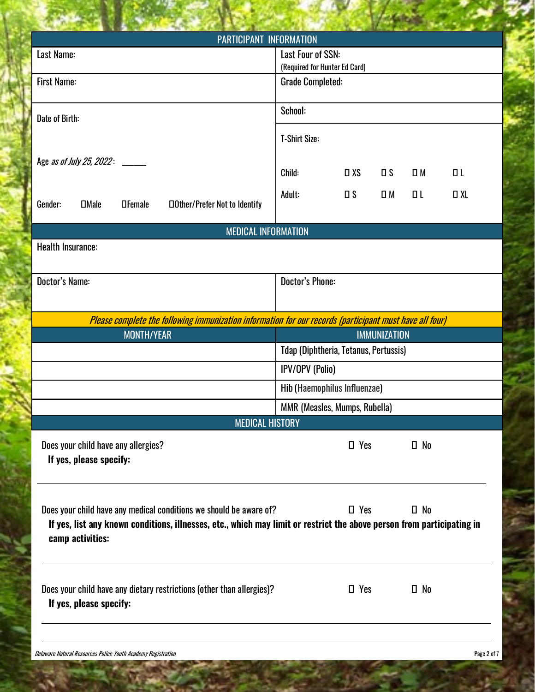| <b>PARTICIPANT INFORMATION</b>                                                                                         |                                                    |            |                     |              |           |
|------------------------------------------------------------------------------------------------------------------------|----------------------------------------------------|------------|---------------------|--------------|-----------|
| Last Name:                                                                                                             | Last Four of SSN:<br>(Required for Hunter Ed Card) |            |                     |              |           |
| <b>First Name:</b>                                                                                                     | <b>Grade Completed:</b>                            |            |                     |              |           |
|                                                                                                                        |                                                    |            |                     |              |           |
|                                                                                                                        | School:                                            |            |                     |              |           |
| Date of Birth:                                                                                                         |                                                    |            |                     |              |           |
|                                                                                                                        | <b>T-Shirt Size:</b>                               |            |                     |              |           |
|                                                                                                                        |                                                    |            |                     |              |           |
| Age <i>as of July 25, 2022</i> : ______                                                                                | Child:                                             | $\Box$ XS  | $\square$           | $\square$ M  | $\Box$    |
|                                                                                                                        |                                                    |            |                     |              |           |
| <b>DMale</b><br>Gender:<br><b>OFemale</b><br><b>Other/Prefer Not to Identify</b>                                       | Adult:                                             | $\Box$     | $\square$ M         | ΠL           | $\Box$ XL |
|                                                                                                                        |                                                    |            |                     |              |           |
| <b>MEDICAL INFORMATION</b>                                                                                             |                                                    |            |                     |              |           |
| <b>Health Insurance:</b>                                                                                               |                                                    |            |                     |              |           |
|                                                                                                                        |                                                    |            |                     |              |           |
| Doctor's Name:                                                                                                         | <b>Doctor's Phone:</b>                             |            |                     |              |           |
|                                                                                                                        |                                                    |            |                     |              |           |
|                                                                                                                        |                                                    |            |                     |              |           |
| Please complete the following immunization information for our records (participant must have all four)                |                                                    |            |                     |              |           |
|                                                                                                                        |                                                    |            |                     |              |           |
| <b>MONTH/YEAR</b>                                                                                                      |                                                    |            | <b>IMMUNIZATION</b> |              |           |
|                                                                                                                        | <b>Tdap (Diphtheria, Tetanus, Pertussis)</b>       |            |                     |              |           |
|                                                                                                                        | <b>IPV/OPV (Polio)</b>                             |            |                     |              |           |
|                                                                                                                        | Hib (Haemophilus Influenzae)                       |            |                     |              |           |
|                                                                                                                        |                                                    |            |                     |              |           |
| <b>MEDICAL HISTORY</b>                                                                                                 | <b>MMR (Measles, Mumps, Rubella)</b>               |            |                     |              |           |
|                                                                                                                        |                                                    |            |                     |              |           |
| Does your child have any allergies?                                                                                    |                                                    | $\Box$ Yes |                     | $\square$ No |           |
| If yes, please specify:                                                                                                |                                                    |            |                     |              |           |
|                                                                                                                        |                                                    |            |                     |              |           |
|                                                                                                                        |                                                    |            |                     |              |           |
| Does your child have any medical conditions we should be aware of?                                                     |                                                    | $\Box$ Yes |                     | $\square$ No |           |
| If yes, list any known conditions, illnesses, etc., which may limit or restrict the above person from participating in |                                                    |            |                     |              |           |
| camp activities:                                                                                                       |                                                    |            |                     |              |           |
|                                                                                                                        |                                                    |            |                     |              |           |
|                                                                                                                        |                                                    |            |                     |              |           |
| Does your child have any dietary restrictions (other than allergies)?                                                  |                                                    | $\Box$ Yes |                     | $\Box$ No    |           |
| If yes, please specify:                                                                                                |                                                    |            |                     |              |           |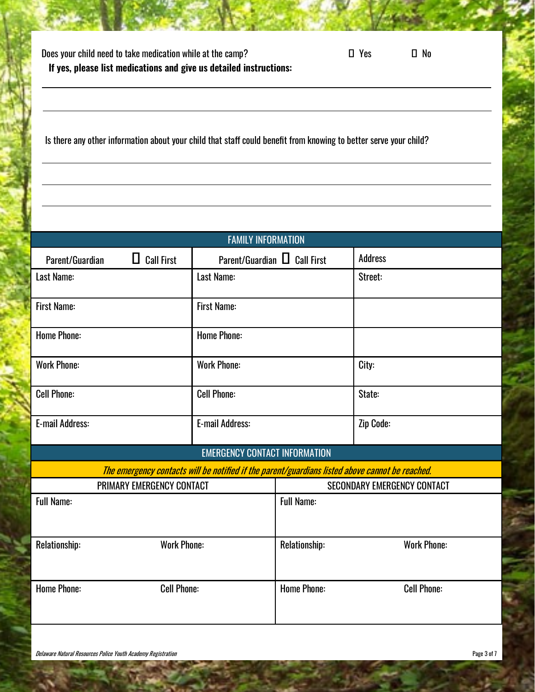| Does your child need to take medication while at the camp?         | $\Box$ Yes | $\square$ No |
|--------------------------------------------------------------------|------------|--------------|
| If yes, please list medications and give us detailed instructions: |            |              |

Is there any other information about your child that staff could benefit from knowing to better serve your child?

| <b>FAMILY INFORMATION</b>                                                                       |                                   |                    |                                    |
|-------------------------------------------------------------------------------------------------|-----------------------------------|--------------------|------------------------------------|
| $\Box$ Call First<br>Parent/Guardian                                                            | Parent/Guardian $\Box$ Call First |                    | <b>Address</b>                     |
| Last Name:                                                                                      | Last Name:                        |                    | Street:                            |
| <b>First Name:</b>                                                                              | <b>First Name:</b>                |                    |                                    |
| <b>Home Phone:</b>                                                                              | <b>Home Phone:</b>                |                    |                                    |
|                                                                                                 |                                   |                    |                                    |
| <b>Work Phone:</b>                                                                              | <b>Work Phone:</b>                |                    | City:                              |
| <b>Cell Phone:</b>                                                                              | <b>Cell Phone:</b>                |                    | State:                             |
| <b>E-mail Address:</b>                                                                          | <b>E-mail Address:</b>            |                    | Zip Code:                          |
| <b>EMERGENCY CONTACT INFORMATION</b>                                                            |                                   |                    |                                    |
| The emergency contacts will be notified if the parent/guardians listed above cannot be reached. |                                   |                    |                                    |
| PRIMARY EMERGENCY CONTACT                                                                       |                                   |                    | <b>SECONDARY EMERGENCY CONTACT</b> |
| <b>Full Name:</b>                                                                               |                                   | <b>Full Name:</b>  |                                    |
| <b>Work Phone:</b><br>Relationship:                                                             |                                   | Relationship:      | <b>Work Phone:</b>                 |
| <b>Home Phone:</b><br><b>Cell Phone:</b>                                                        |                                   | <b>Home Phone:</b> | <b>Cell Phone:</b>                 |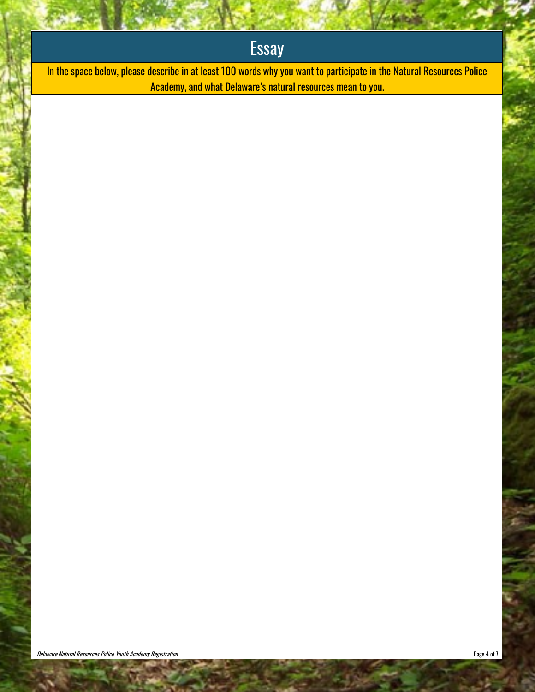# **Essay**

In the space below, please describe in at least 100 words why you want to participate in the Natural Resources Police Academy, and what Delaware's natural resources mean to you.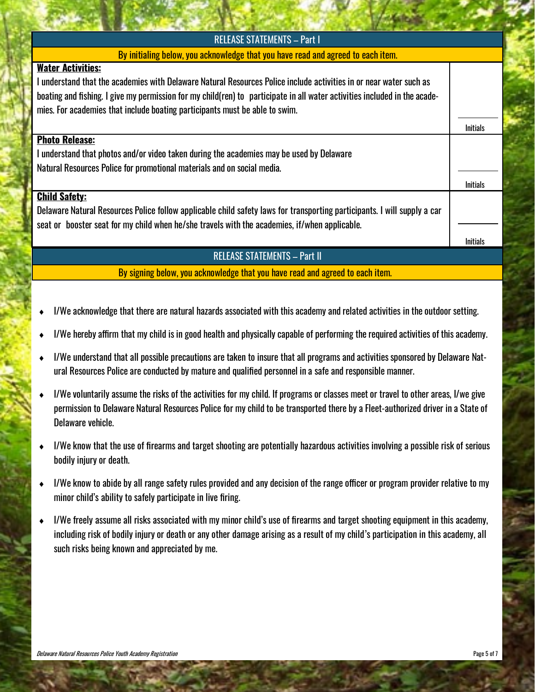| <b>RELEASE STATEMENTS - Part I</b>                                                                                        |                 |
|---------------------------------------------------------------------------------------------------------------------------|-----------------|
| By initialing below, you acknowledge that you have read and agreed to each item.                                          |                 |
| <b>Water Activities:</b>                                                                                                  |                 |
| l understand that the academies with Delaware Natural Resources Police include activities in or near water such as        |                 |
| boating and fishing. I give my permission for my child(ren) to participate in all water activities included in the acade- |                 |
| mies. For academies that include boating participants must be able to swim.                                               |                 |
|                                                                                                                           | <b>Initials</b> |
| <b>Photo Release:</b>                                                                                                     |                 |
| I understand that photos and/or video taken during the academies may be used by Delaware                                  |                 |
| Natural Resources Police for promotional materials and on social media.                                                   |                 |
|                                                                                                                           | <b>Initials</b> |
| <b>Child Safety:</b>                                                                                                      |                 |
| Delaware Natural Resources Police follow applicable child safety laws for transporting participants. I will supply a car  |                 |
| seat or booster seat for my child when he/she travels with the academies, if/when applicable.                             |                 |
|                                                                                                                           | <b>Initials</b> |
| <b>DEI EACE CTATEMENTS</b><br>$D_{\alpha} + H$                                                                            |                 |

RELEASE STATEMENTS –

By signing below, you acknowledge that you have read and agreed to each item.

- I/We acknowledge that there are natural hazards associated with this academy and related activities in the outdoor setting.
- I/We hereby affirm that my child is in good health and physically capable of performing the required activities of this academy.
- I/We understand that all possible precautions are taken to insure that all programs and activities sponsored by Delaware Natural Resources Police are conducted by mature and qualified personnel in a safe and responsible manner.
- I/We voluntarily assume the risks of the activities for my child. If programs or classes meet or travel to other areas, I/we give permission to Delaware Natural Resources Police for my child to be transported there by a Fleet-authorized driver in a State of Delaware vehicle.
- I/We know that the use of firearms and target shooting are potentially hazardous activities involving a possible risk of serious bodily injury or death.
- I/We know to abide by all range safety rules provided and any decision of the range officer or program provider relative to my minor child's ability to safely participate in live firing.
- I/We freely assume all risks associated with my minor child's use of firearms and target shooting equipment in this academy, including risk of bodily injury or death or any other damage arising as a result of my child's participation in this academy, all such risks being known and appreciated by me.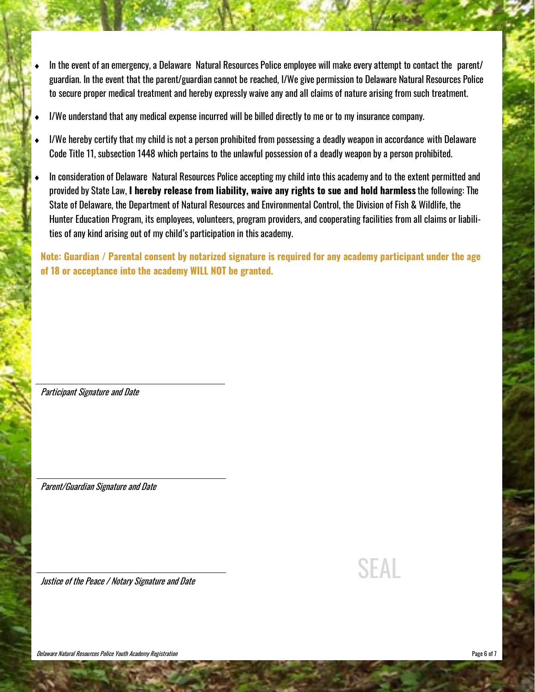- In the event of an emergency, a Delaware Natural Resources Police employee will make every attempt to contact the parent/ guardian. In the event that the parent/guardian cannot be reached, I/We give permission to Delaware Natural Resources Police to secure proper medical treatment and hereby expressly waive any and all claims of nature arising from such treatment.
- I/We understand that any medical expense incurred will be billed directly to me or to my insurance company.
- I/We hereby certify that my child is not a person prohibited from possessing a deadly weapon in accordance with Delaware Code Title 11, subsection 1448 which pertains to the unlawful possession of a deadly weapon by a person prohibited.
- In consideration of Delaware Natural Resources Police accepting my child into this academy and to the extent permitted and provided by State Law, **I hereby release from liability, waive any rights to sue and hold harmless** the following: The State of Delaware, the Department of Natural Resources and Environmental Control, the Division of Fish & Wildlife, the Hunter Education Program, its employees, volunteers, program providers, and cooperating facilities from all claims or liabilities of any kind arising out of my child's participation in this academy.

**Note: Guardian / Parental consent by notarized signature is required for any academy participant under the age of 18 or acceptance into the academy WILL NOT be granted.**

Participant Signature and Date

Parent/Guardian Signature and Date

Justice of the Peace / Notary Signature and Date  $SFAL$ 

Delaware Natural Resources Police Youth Academy Registration **Page 6 of 7** and 2008 **Page 6 of 7** and 2008 **Page 6 of 7**